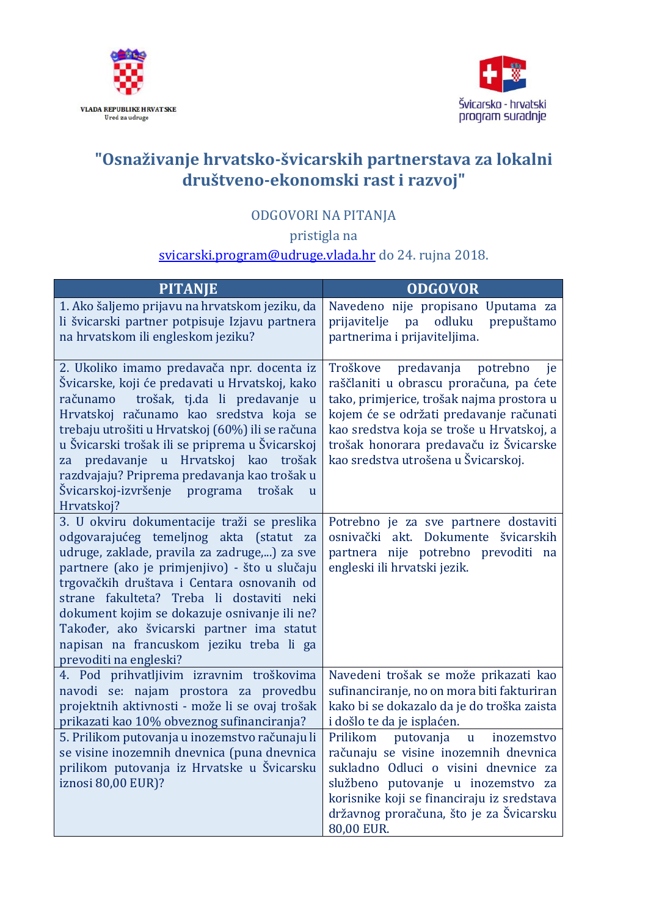



## **"Osnaživanje hrvatsko-švicarskih partnerstava za lokalni društveno-ekonomski rast i razvoj"**

## ODGOVORI NA PITANJA

pristigla na

## [svicarski.program@udruge.vlada.hr](mailto:svicarski.program@udruge.vlada.hr) do 24. rujna 2018.

| <b>PITANJE</b>                                                                                                                                                                                                                                                                                                                                                                                                                                                                | <b>ODGOVOR</b>                                                                                                                                                                                                                                                                                            |
|-------------------------------------------------------------------------------------------------------------------------------------------------------------------------------------------------------------------------------------------------------------------------------------------------------------------------------------------------------------------------------------------------------------------------------------------------------------------------------|-----------------------------------------------------------------------------------------------------------------------------------------------------------------------------------------------------------------------------------------------------------------------------------------------------------|
| 1. Ako šaljemo prijavu na hrvatskom jeziku, da<br>li švicarski partner potpisuje Izjavu partnera<br>na hrvatskom ili engleskom jeziku?                                                                                                                                                                                                                                                                                                                                        | Navedeno nije propisano Uputama za<br>prepuštamo<br>pa<br>odluku<br>prijavitelje<br>partnerima i prijaviteljima.                                                                                                                                                                                          |
| 2. Ukoliko imamo predavača npr. docenta iz<br>Švicarske, koji će predavati u Hrvatskoj, kako<br>trošak, tj.da li predavanje<br>računamo<br>$\mathbf{u}$<br>Hrvatskoj računamo kao sredstva koja se<br>trebaju utrošiti u Hrvatskoj (60%) ili se računa<br>u Švicarski trošak ili se priprema u Švicarskoj<br>za predavanje u Hrvatskoj<br>kao trošak<br>razdvajaju? Priprema predavanja kao trošak u<br>Švicarskoj-izvršenje programa<br>trošak<br>$\mathbf{u}$<br>Hrvatskoj? | predavanja<br>potrebno<br>Troškove<br>je<br>raščlaniti u obrascu proračuna, pa ćete<br>tako, primjerice, trošak najma prostora u<br>kojem će se održati predavanje računati<br>kao sredstva koja se troše u Hrvatskoj, a<br>trošak honorara predavaču iz Švicarske<br>kao sredstva utrošena u Švicarskoj. |
| 3. U okviru dokumentacije traži se preslika<br>odgovarajućeg temeljnog akta (statut za<br>udruge, zaklade, pravila za zadruge,) za sve<br>partnere (ako je primjenjivo) - što u slučaju<br>trgovačkih društava i Centara osnovanih od<br>strane fakulteta? Treba li dostaviti neki<br>dokument kojim se dokazuje osnivanje ili ne?<br>Također, ako švicarski partner ima statut<br>napisan na francuskom jeziku treba li ga<br>prevoditi na engleski?                         | Potrebno je za sve partnere dostaviti<br>osnivački akt. Dokumente švicarskih<br>partnera nije potrebno prevoditi na<br>engleski ili hrvatski jezik.                                                                                                                                                       |
| 4. Pod prihvatljivim izravnim troškovima<br>navodi se: najam prostora za provedbu<br>projektnih aktivnosti - može li se ovaj trošak<br>prikazati kao 10% obveznog sufinanciranja?                                                                                                                                                                                                                                                                                             | Navedeni trošak se može prikazati kao<br>sufinanciranje, no on mora biti fakturiran<br>kako bi se dokazalo da je do troška zaista<br>i došlo te da je isplaćen.                                                                                                                                           |
| 5. Prilikom putovanja u inozemstvo računaju li<br>se visine inozemnih dnevnica (puna dnevnica<br>prilikom putovanja iz Hrvatske u Švicarsku<br>iznosi 80,00 EUR)?                                                                                                                                                                                                                                                                                                             | Prilikom<br>putovanja<br>$\mathbf{u}$<br>inozemstvo<br>računaju se visine inozemnih dnevnica<br>sukladno Odluci o visini dnevnice za<br>službeno putovanje u inozemstvo za<br>korisnike koji se financiraju iz sredstava<br>državnog proračuna, što je za Švicarsku<br>80,00 EUR.                         |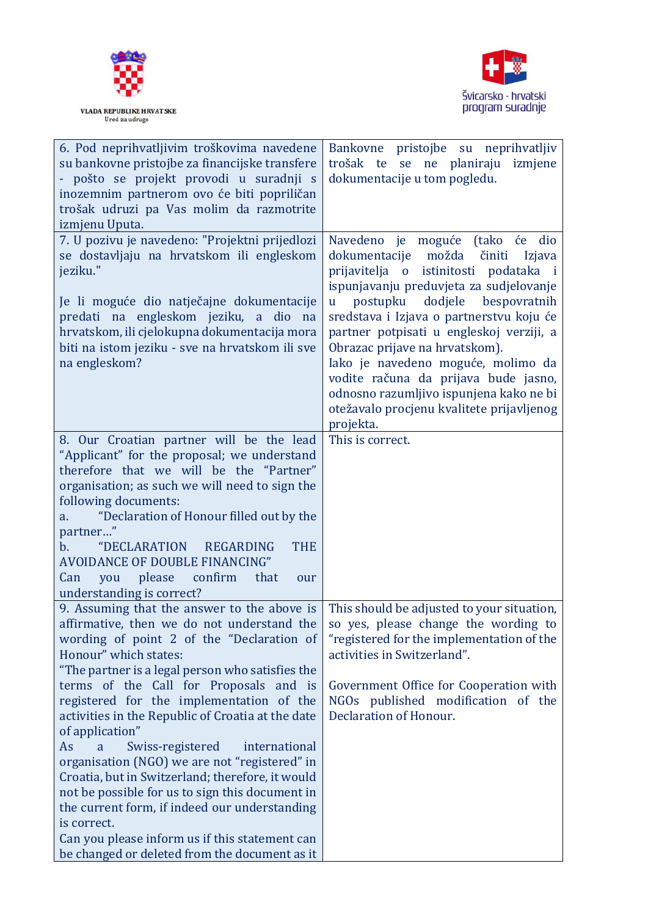



| 6. Pod neprihvatljivim troškovima navedene                                                                                                                                                                                                                                                                        | Bankovne pristojbe su neprihvatljiv                                                                                                                                                                                                                                                                                                                                                                                                                                        |
|-------------------------------------------------------------------------------------------------------------------------------------------------------------------------------------------------------------------------------------------------------------------------------------------------------------------|----------------------------------------------------------------------------------------------------------------------------------------------------------------------------------------------------------------------------------------------------------------------------------------------------------------------------------------------------------------------------------------------------------------------------------------------------------------------------|
| su bankovne pristojbe za financijske transfere                                                                                                                                                                                                                                                                    | trošak te se ne planiraju izmjene                                                                                                                                                                                                                                                                                                                                                                                                                                          |
| - pošto se projekt provodi u suradnji s                                                                                                                                                                                                                                                                           | dokumentacije u tom pogledu.                                                                                                                                                                                                                                                                                                                                                                                                                                               |
| inozemnim partnerom ovo će biti popriličan                                                                                                                                                                                                                                                                        |                                                                                                                                                                                                                                                                                                                                                                                                                                                                            |
| trošak udruzi pa Vas molim da razmotrite                                                                                                                                                                                                                                                                          |                                                                                                                                                                                                                                                                                                                                                                                                                                                                            |
| izmjenu Uputa.                                                                                                                                                                                                                                                                                                    |                                                                                                                                                                                                                                                                                                                                                                                                                                                                            |
| 7. U pozivu je navedeno: "Projektni prijedlozi<br>se dostavljaju na hrvatskom ili engleskom<br>jeziku."<br>Je li moguće dio natječajne dokumentacije<br>predati na engleskom jeziku, a dio na<br>hrvatskom, ili cjelokupna dokumentacija mora<br>biti na istom jeziku - sve na hrvatskom ili sve<br>na engleskom? | Navedeno je moguće<br>(tako će<br>dio<br>dokumentacije možda<br>činiti<br>Izjava<br>prijavitelja o istinitosti<br>podataka i<br>ispunjavanju preduvjeta za sudjelovanje<br>bespovratnih<br>postupku dodjele<br><b>u</b><br>sredstava i Izjava o partnerstvu koju će<br>partner potpisati u engleskoj verziji, a<br>Obrazac prijave na hrvatskom).<br>Iako je navedeno moguće, molimo da<br>vodite računa da prijava bude jasno,<br>odnosno razumljivo ispunjena kako ne bi |
|                                                                                                                                                                                                                                                                                                                   | otežavalo procjenu kvalitete prijavljenog                                                                                                                                                                                                                                                                                                                                                                                                                                  |
|                                                                                                                                                                                                                                                                                                                   | projekta.                                                                                                                                                                                                                                                                                                                                                                                                                                                                  |
| 8. Our Croatian partner will be the lead                                                                                                                                                                                                                                                                          | This is correct.                                                                                                                                                                                                                                                                                                                                                                                                                                                           |
| "Applicant" for the proposal; we understand                                                                                                                                                                                                                                                                       |                                                                                                                                                                                                                                                                                                                                                                                                                                                                            |
| therefore that we will be the "Partner"                                                                                                                                                                                                                                                                           |                                                                                                                                                                                                                                                                                                                                                                                                                                                                            |
| organisation; as such we will need to sign the                                                                                                                                                                                                                                                                    |                                                                                                                                                                                                                                                                                                                                                                                                                                                                            |
| following documents:                                                                                                                                                                                                                                                                                              |                                                                                                                                                                                                                                                                                                                                                                                                                                                                            |
| "Declaration of Honour filled out by the<br>a.                                                                                                                                                                                                                                                                    |                                                                                                                                                                                                                                                                                                                                                                                                                                                                            |
| partner"                                                                                                                                                                                                                                                                                                          |                                                                                                                                                                                                                                                                                                                                                                                                                                                                            |
| "DECLARATION<br>REGARDING<br><b>THE</b><br>$\mathbf{b}$ .                                                                                                                                                                                                                                                         |                                                                                                                                                                                                                                                                                                                                                                                                                                                                            |
| <b>AVOIDANCE OF DOUBLE FINANCING"</b>                                                                                                                                                                                                                                                                             |                                                                                                                                                                                                                                                                                                                                                                                                                                                                            |
| please<br>confirm<br>that<br>Can<br>you<br>our<br>understanding is correct?                                                                                                                                                                                                                                       |                                                                                                                                                                                                                                                                                                                                                                                                                                                                            |
| 9. Assuming that the answer to the above is                                                                                                                                                                                                                                                                       | This should be adjusted to your situation,                                                                                                                                                                                                                                                                                                                                                                                                                                 |
| affirmative, then we do not understand the   so yes, please change the wording to<br>wording of point 2 of the "Declaration of<br>Honour" which states:<br>"The partner is a legal person who satisfies the                                                                                                       | "registered for the implementation of the<br>activities in Switzerland".                                                                                                                                                                                                                                                                                                                                                                                                   |
| terms of the Call for Proposals and is                                                                                                                                                                                                                                                                            | Government Office for Cooperation with                                                                                                                                                                                                                                                                                                                                                                                                                                     |
| registered for the implementation of the                                                                                                                                                                                                                                                                          | NGOs published modification of the                                                                                                                                                                                                                                                                                                                                                                                                                                         |
| activities in the Republic of Croatia at the date                                                                                                                                                                                                                                                                 | Declaration of Honour.                                                                                                                                                                                                                                                                                                                                                                                                                                                     |
| of application"                                                                                                                                                                                                                                                                                                   |                                                                                                                                                                                                                                                                                                                                                                                                                                                                            |
| As<br>Swiss-registered<br>international<br>a                                                                                                                                                                                                                                                                      |                                                                                                                                                                                                                                                                                                                                                                                                                                                                            |
| organisation (NGO) we are not "registered" in                                                                                                                                                                                                                                                                     |                                                                                                                                                                                                                                                                                                                                                                                                                                                                            |
| Croatia, but in Switzerland; therefore, it would                                                                                                                                                                                                                                                                  |                                                                                                                                                                                                                                                                                                                                                                                                                                                                            |
| not be possible for us to sign this document in                                                                                                                                                                                                                                                                   |                                                                                                                                                                                                                                                                                                                                                                                                                                                                            |
| the current form, if indeed our understanding                                                                                                                                                                                                                                                                     |                                                                                                                                                                                                                                                                                                                                                                                                                                                                            |
| is correct.                                                                                                                                                                                                                                                                                                       |                                                                                                                                                                                                                                                                                                                                                                                                                                                                            |
| Can you please inform us if this statement can                                                                                                                                                                                                                                                                    |                                                                                                                                                                                                                                                                                                                                                                                                                                                                            |
| be changed or deleted from the document as it                                                                                                                                                                                                                                                                     |                                                                                                                                                                                                                                                                                                                                                                                                                                                                            |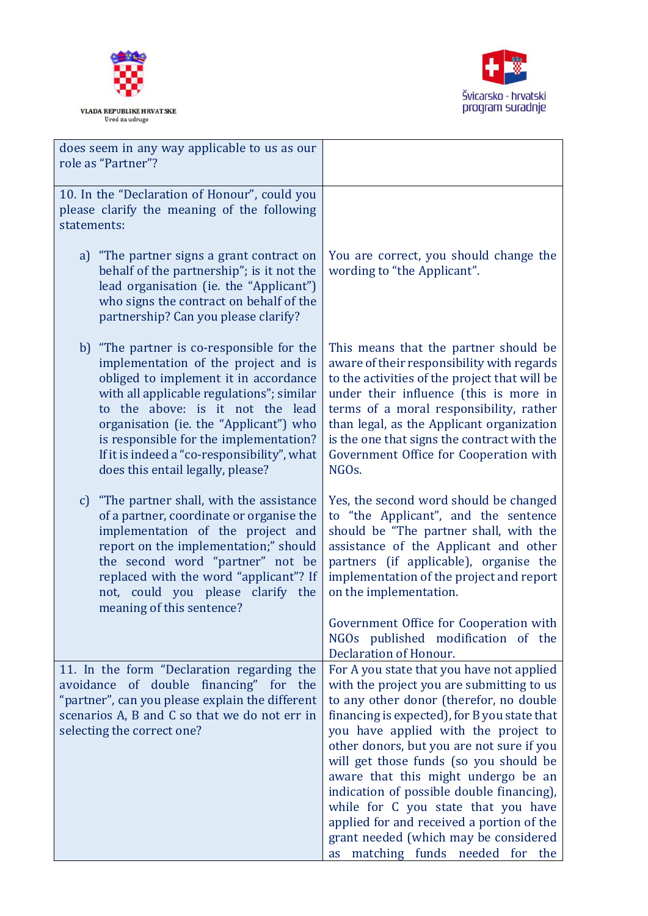



| does seem in any way applicable to us as our<br>role as "Partner"?                                                                                                                                                                                                                                                                                                                  |                                                                                                                                                                                                                                                                                                                                                                                                                                                                                                                          |
|-------------------------------------------------------------------------------------------------------------------------------------------------------------------------------------------------------------------------------------------------------------------------------------------------------------------------------------------------------------------------------------|--------------------------------------------------------------------------------------------------------------------------------------------------------------------------------------------------------------------------------------------------------------------------------------------------------------------------------------------------------------------------------------------------------------------------------------------------------------------------------------------------------------------------|
| 10. In the "Declaration of Honour", could you<br>please clarify the meaning of the following<br>statements:                                                                                                                                                                                                                                                                         |                                                                                                                                                                                                                                                                                                                                                                                                                                                                                                                          |
| a) "The partner signs a grant contract on<br>behalf of the partnership"; is it not the<br>lead organisation (ie. the "Applicant")<br>who signs the contract on behalf of the<br>partnership? Can you please clarify?                                                                                                                                                                | You are correct, you should change the<br>wording to "the Applicant".                                                                                                                                                                                                                                                                                                                                                                                                                                                    |
| b) "The partner is co-responsible for the<br>implementation of the project and is<br>obliged to implement it in accordance<br>with all applicable regulations"; similar<br>to the above: is it not the lead<br>organisation (ie. the "Applicant") who<br>is responsible for the implementation?<br>If it is indeed a "co-responsibility", what<br>does this entail legally, please? | This means that the partner should be<br>aware of their responsibility with regards<br>to the activities of the project that will be<br>under their influence (this is more in<br>terms of a moral responsibility, rather<br>than legal, as the Applicant organization<br>is the one that signs the contract with the<br>Government Office for Cooperation with<br>NGO <sub>s</sub> .                                                                                                                                    |
| c) "The partner shall, with the assistance<br>of a partner, coordinate or organise the<br>implementation of the project and<br>report on the implementation;" should<br>the second word "partner" not be<br>replaced with the word "applicant"? If<br>not, could you please clarify the<br>meaning of this sentence?                                                                | Yes, the second word should be changed<br>to "the Applicant", and the sentence<br>should be "The partner shall, with the<br>assistance of the Applicant and other<br>partners (if applicable), organise the<br>implementation of the project and report<br>on the implementation.<br>Government Office for Cooperation with<br>NGOs published modification of the                                                                                                                                                        |
| 11. In the form "Declaration regarding the                                                                                                                                                                                                                                                                                                                                          | Declaration of Honour.<br>For A you state that you have not applied                                                                                                                                                                                                                                                                                                                                                                                                                                                      |
| avoidance of double financing" for the<br>"partner", can you please explain the different<br>scenarios A, B and C so that we do not err in<br>selecting the correct one?                                                                                                                                                                                                            | with the project you are submitting to us<br>to any other donor (therefor, no double<br>financing is expected), for B you state that<br>you have applied with the project to<br>other donors, but you are not sure if you<br>will get those funds (so you should be<br>aware that this might undergo be an<br>indication of possible double financing),<br>while for C you state that you have<br>applied for and received a portion of the<br>grant needed (which may be considered<br>as matching funds needed for the |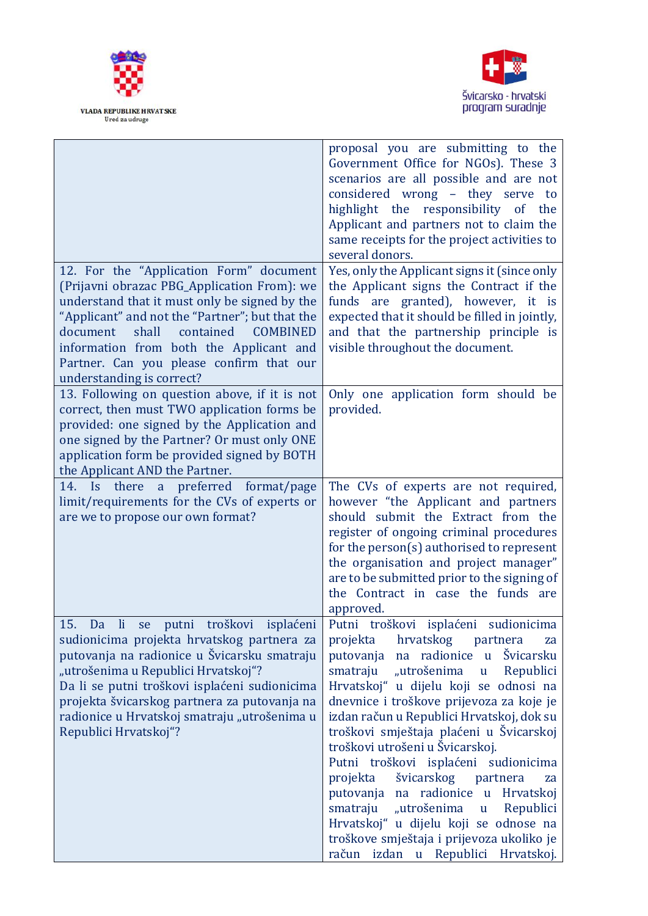



|                                                                                                                                                                                                                                                                                                                                                                                            | proposal you are submitting to the<br>Government Office for NGOs). These 3<br>scenarios are all possible and are not<br>considered wrong - they serve to<br>highlight the responsibility of the<br>Applicant and partners not to claim the<br>same receipts for the project activities to<br>several donors.                                                                                                                                                                                                                                                                                                                                                     |
|--------------------------------------------------------------------------------------------------------------------------------------------------------------------------------------------------------------------------------------------------------------------------------------------------------------------------------------------------------------------------------------------|------------------------------------------------------------------------------------------------------------------------------------------------------------------------------------------------------------------------------------------------------------------------------------------------------------------------------------------------------------------------------------------------------------------------------------------------------------------------------------------------------------------------------------------------------------------------------------------------------------------------------------------------------------------|
| 12. For the "Application Form" document<br>(Prijavni obrazac PBG_Application From): we<br>understand that it must only be signed by the<br>"Applicant" and not the "Partner"; but that the<br>contained<br><b>COMBINED</b><br>document<br>shall<br>information from both the Applicant and<br>Partner. Can you please confirm that our<br>understanding is correct?                        | Yes, only the Applicant signs it (since only<br>the Applicant signs the Contract if the<br>funds are granted), however, it is<br>expected that it should be filled in jointly,<br>and that the partnership principle is<br>visible throughout the document.                                                                                                                                                                                                                                                                                                                                                                                                      |
| 13. Following on question above, if it is not<br>correct, then must TWO application forms be<br>provided: one signed by the Application and<br>one signed by the Partner? Or must only ONE<br>application form be provided signed by BOTH<br>the Applicant AND the Partner.                                                                                                                | Only one application form should be<br>provided.                                                                                                                                                                                                                                                                                                                                                                                                                                                                                                                                                                                                                 |
| 14. Is there a preferred<br>format/page<br>limit/requirements for the CVs of experts or<br>are we to propose our own format?                                                                                                                                                                                                                                                               | The CVs of experts are not required,<br>however "the Applicant and partners<br>should submit the Extract from the<br>register of ongoing criminal procedures<br>for the person(s) authorised to represent<br>the organisation and project manager"<br>are to be submitted prior to the signing of<br>the Contract in case the funds are<br>approved.                                                                                                                                                                                                                                                                                                             |
| 15.<br>troškovi<br>isplaćeni<br>Da<br>$\overline{\mathbf{h}}$<br>putni<br>se<br>sudionicima projekta hrvatskog partnera za<br>putovanja na radionice u Švicarsku smatraju<br>"utrošenima u Republici Hrvatskoj"?<br>Da li se putni troškovi isplaćeni sudionicima<br>projekta švicarskog partnera za putovanja na<br>radionice u Hrvatskoj smatraju "utrošenima u<br>Republici Hrvatskoj"? | Putni troškovi isplaćeni sudionicima<br>projekta hrvatskog partnera<br>za<br>putovanja na radionice u Švicarsku<br>smatraju<br>"utrošenima u Republici<br>Hrvatskoj" u dijelu koji se odnosi na<br>dnevnice i troškove prijevoza za koje je<br>izdan račun u Republici Hrvatskoj, dok su<br>troškovi smještaja plaćeni u Švicarskoj<br>troškovi utrošeni u Švicarskoj.<br>Putni troškovi isplaćeni sudionicima<br>švicarskog partnera<br>projekta<br>za<br>putovanja na radionice u Hrvatskoj<br>"utrošenima u Republici<br>smatraju<br>Hrvatskoj" u dijelu koji se odnose na<br>troškove smještaja i prijevoza ukoliko je<br>račun izdan u Republici Hrvatskoj. |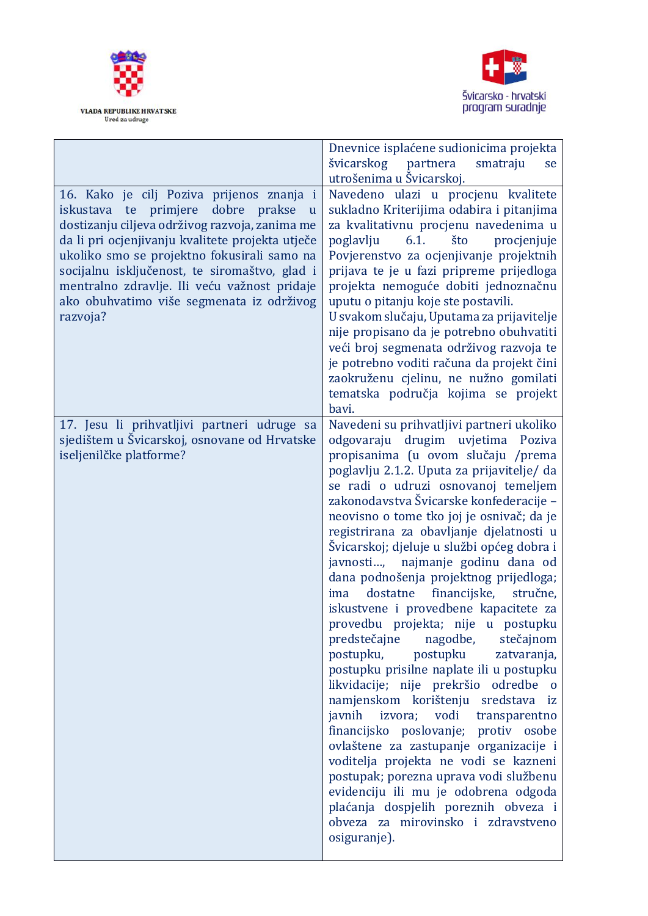



|                                                          | Dnevnice isplaćene sudionicima projekta     |
|----------------------------------------------------------|---------------------------------------------|
|                                                          | švicarskog<br>partnera<br>smatraju<br>se    |
|                                                          | utrošenima u Švicarskoj.                    |
| 16. Kako je cilj Poziva prijenos znanja i                | Navedeno ulazi u procjenu kvalitete         |
| dobre prakse<br>te primjere<br>iskustava<br>$\mathbf{u}$ | sukladno Kriterijima odabira i pitanjima    |
| dostizanju ciljeva održivog razvoja, zanima me           | za kvalitativnu procjenu navedenima u       |
| da li pri ocjenjivanju kvalitete projekta utječe         | poglavlju<br>6.1.<br>što<br>procjenjuje     |
| ukoliko smo se projektno fokusirali samo na              | Povjerenstvo za ocjenjivanje projektnih     |
| socijalnu isključenost, te siromaštvo, glad i            | prijava te je u fazi pripreme prijedloga    |
| mentralno zdravlje. Ili veću važnost pridaje             | projekta nemoguće dobiti jednoznačnu        |
| ako obuhvatimo više segmenata iz održivog                | uputu o pitanju koje ste postavili.         |
| razvoja?                                                 | U svakom slučaju, Uputama za prijavitelje   |
|                                                          |                                             |
|                                                          | nije propisano da je potrebno obuhvatiti    |
|                                                          | veći broj segmenata održivog razvoja te     |
|                                                          | je potrebno voditi računa da projekt čini   |
|                                                          | zaokruženu cjelinu, ne nužno gomilati       |
|                                                          | tematska područja kojima se projekt         |
|                                                          | bavi.                                       |
| 17. Jesu li prihvatljivi partneri udruge sa              | Navedeni su prihvatljivi partneri ukoliko   |
| sjedištem u Švicarskoj, osnovane od Hrvatske             | odgovaraju drugim uvjetima Poziva           |
| iseljenilčke platforme?                                  | propisanima (u ovom slučaju /prema          |
|                                                          | poglavlju 2.1.2. Uputa za prijavitelje/ da  |
|                                                          | se radi o udruzi osnovanoj temeljem         |
|                                                          | zakonodavstva Švicarske konfederacije -     |
|                                                          | neovisno o tome tko joj je osnivač; da je   |
|                                                          | registrirana za obavljanje djelatnosti u    |
|                                                          | Švicarskoj; djeluje u službi općeg dobra i  |
|                                                          | javnosti, najmanje godinu dana od           |
|                                                          | dana podnošenja projektnog prijedloga;      |
|                                                          | financijske,<br>dostatne<br>stručne,<br>ima |
|                                                          | iskustvene i provedbene kapacitete za       |
|                                                          | provedbu projekta; nije u postupku          |
|                                                          | predstečajne nagodbe,<br>stečajnom          |
|                                                          | postupku, postupku<br>zatvaranja,           |
|                                                          | postupku prisilne naplate ili u postupku    |
|                                                          | likvidacije; nije prekršio odredbe o        |
|                                                          | namjenskom korištenju sredstava iz          |
|                                                          | javnih izvora; vodi transparentno           |
|                                                          | financijsko poslovanje; protiv osobe        |
|                                                          | ovlaštene za zastupanje organizacije i      |
|                                                          | voditelja projekta ne vodi se kazneni       |
|                                                          | postupak; porezna uprava vodi službenu      |
|                                                          | evidenciju ili mu je odobrena odgoda        |
|                                                          | plaćanja dospjelih poreznih obveza i        |
|                                                          | obveza za mirovinsko i zdravstveno          |
|                                                          | osiguranje).                                |
|                                                          |                                             |
|                                                          |                                             |